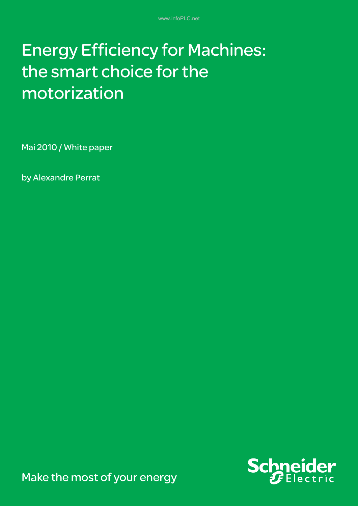# Energy Efficiency for Machines: the smart choice for the motorization

Mai 2010 / White paper

by Alexandre Perrat



Make the most of your energy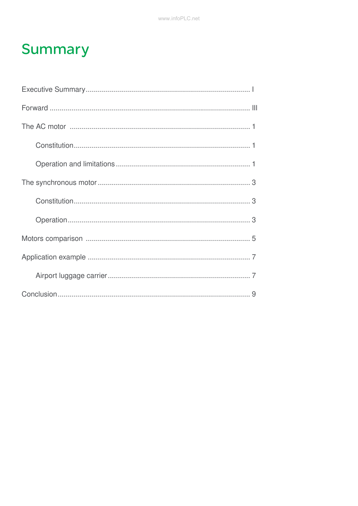## **Summary**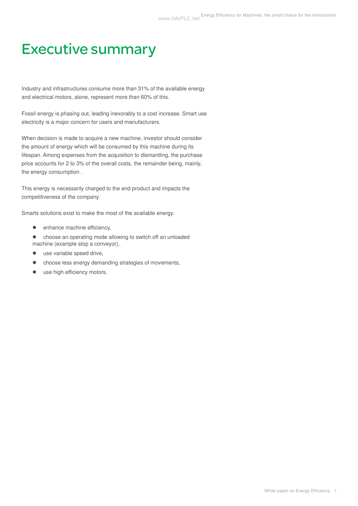## Executive summary

Industry and infrastructures consume more than 31% of the available energy and electrical motors, alone, represent more than 60% of this.

Fossil energy is phasing out, leading inexorably to a cost increase. Smart use electricity is a major concern for users and manufacturers.

When decision is made to acquire a new machine, investor should consider the amount of energy which will be consumed by this machine during its lifespan. Among expenses from the acquisition to dismantling, the purchase price accounts for 2 to 3% of the overall costs, the remainder being, mainly, the energy consumption .

This energy is necessarily charged to the end product and impacts the competitiveness of the company.

Smarts solutions exist to make the most of the available energy.

- $\bullet$  enhance machine efficiency,
- choose an operating mode allowing to switch off an unloaded machine (example stop a conveyor),
- $\bullet$  use variable speed drive,
- choose less energy demanding strategies of movements,
- use high efficiency motors.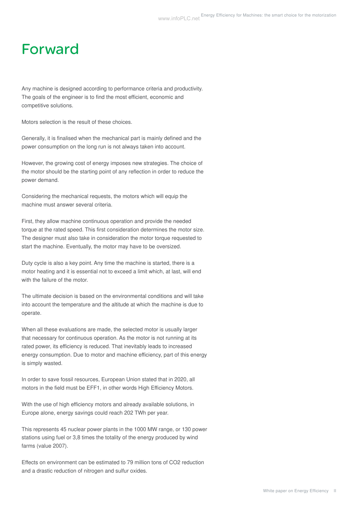### Forward

Any machine is designed according to performance criteria and productivity. The goals of the engineer is to find the most efficient, economic and competitive solutions.

Motors selection is the result of these choices.

Generally, it is finalised when the mechanical part is mainly defined and the power consumption on the long run is not always taken into account.

However, the growing cost of energy imposes new strategies. The choice of the motor should be the starting point of any reflection in order to reduce the power demand.

Considering the mechanical requests, the motors which will equip the machine must answer several criteria.

First, they allow machine continuous operation and provide the needed torque at the rated speed. This first consideration determines the motor size. The designer must also take in consideration the motor torque requested to start the machine. Eventually, the motor may have to be oversized.

Duty cycle is also a key point. Any time the machine is started, there is a motor heating and it is essential not to exceed a limit which, at last, will end with the failure of the motor.

The ultimate decision is based on the environmental conditions and will take into account the temperature and the altitude at which the machine is due to operate.

When all these evaluations are made, the selected motor is usually larger that necessary for continuous operation. As the motor is not running at its rated power, its efficiency is reduced. That inevitably leads to increased energy consumption. Due to motor and machine efficiency, part of this energy is simply wasted.

In order to save fossil resources, European Union stated that in 2020, all motors in the field must be EFF1, in other words High Efficiency Motors.

With the use of high efficiency motors and already available solutions, in Europe alone, energy savings could reach 202 TWh per year.

This represents 45 nuclear power plants in the 1000 MW range, or 130 power stations using fuel or 3,8 times the totality of the energy produced by wind farms (value 2007).

Effects on environment can be estimated to 79 million tons of CO2 reduction and a drastic reduction of nitrogen and sulfur oxides.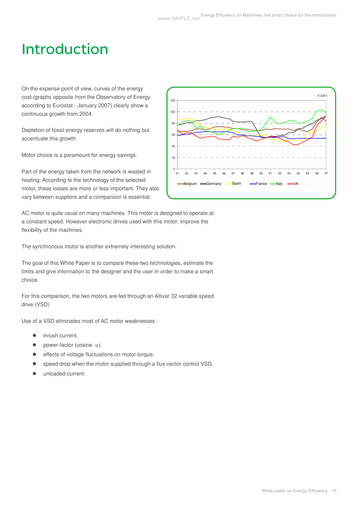$\epsilon$ *AHVI* 

05 **OR**  $07$ 

## Introduction

On the expense point of view, curves of the energy cost (graphs opposite from the Observatory of Energy according to Eurostat - January 2007) clearly show a continuous growth from 2004.

Depletion of fossil energy reserves will do nothing but accentuate this growth.

Motor choice is a paramount for energy savings.

Part of the energy taken from the network is wasted in heating. According to the technology of the selected motor, these losses are more or less important. They also vary between suppliers and a comparison is essential.

 $40^{\circ}$  $20^{\circ}$  $\overline{0}$  $91$  $92$  $93$ or  $01$ <sub>02</sub> 03  $04$ Belgium Germany Spain France Italy UK

AC motor is quite usual on many machines. This motor is designed to operate at a constant speed. However electronic drives used with this motor, improve the flexibility of the machines.

The synchronous motor is another extremely interesting solution.

The goal of this White Paper is to compare these two technologies, estimate the limits and give information to the designer and the user in order to make a smart choice.

For this comparison, the two motors are fed through an Altivar 32 variable speed drive (VSD)

Use of a VSD eliminates most of AC motor weaknesses :

- inrush current,
- power-factor (cosine  $\varphi$ ),
- effects of voltage fluctuations on motor torque,
- speed drop when the motor supplied through a flux vector control VSD,
- z unloaded current.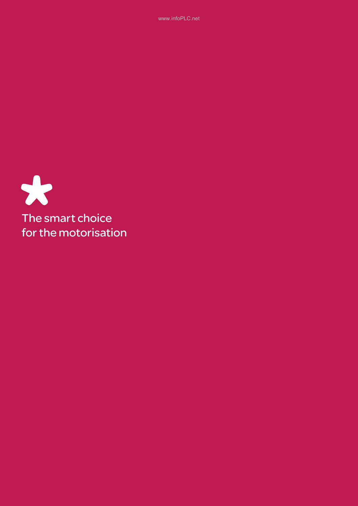www.infoPLC.net

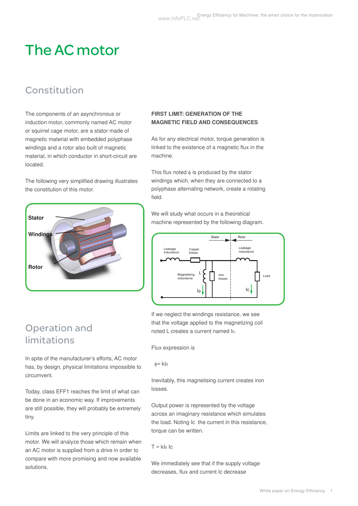# The AC motor

### Constitution

The components of an asynchronous or induction motor, commonly named AC motor or squirrel cage motor, are a stator made of magnetic material with embedded polyphase windings and a rotor also built of magnetic material, in which conductor in short-circuit are located.

The following very simplified drawing illustrates the constitution of this motor.

| <b>Stator</b> |  |
|---------------|--|
| Windings      |  |
| Rotor         |  |
|               |  |

#### **FIRST LIMIT: GENERATION OF THE magnetic field and consequences**

As for any electrical motor, torque generation is linked to the existence of a magnetic flux in the machine.

This flux noted  $\phi$  is produced by the stator windings which, when they are connected to a polyphase alternating network, create a rotating field.

We will study what occurs in a theoretical machine represented by the following diagram.



If we neglect the windings resistance, we see that the voltage applied to the magnetizing coil noted L creates a current named I0.

Flux expression is

 $φ=$  klo

Inevitably, this magnetising current creates iron losses.

Output power is represented by the voltage across an imaginary resistance which simulates the load. Noting Ic the current in this resistance, torque can be written.

 $T = k \cdot 10$ 

We immediately see that if the supply voltage decreases, flux and current Ic decrease

### Operation and limitations

In spite of the manufacturer's efforts, AC motor has, by design, physical limitations impossible to circumvent.

Today, class EFF1 reaches the limit of what can be done in an economic way. If improvements are still possible, they will probably be extremely tiny.

Limits are linked to the very principle of this motor. We will analyze those which remain when an AC motor is supplied from a drive in order to compare with more promising and now available solutions.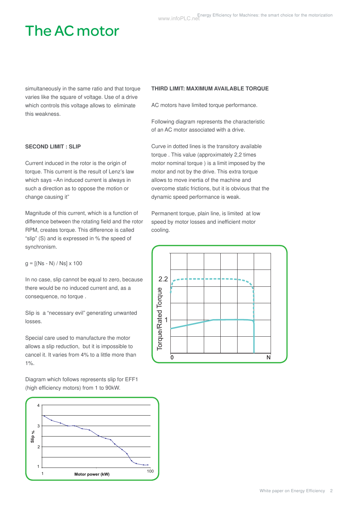# The AC motor

simultaneously in the same ratio and that torque varies like the square of voltage. Use of a drive which controls this voltage allows to eliminate this weakness.

#### **SECOND LIMIT : SLIP**

Current induced in the rotor is the origin of torque. This current is the result of Lenz's law which says «An induced current is always in such a direction as to oppose the motion or change causing it"

Magnitude of this current, which is a function of difference between the rotating field and the rotor RPM, creates torque. This difference is called "slip" (S) and is expressed in % the speed of synchronism.

 $g = [(Ns - N) / Ns] \times 100$ 

In no case, slip cannot be equal to zero, because there would be no induced current and, as a consequence, no torque .

Slip is a "necessary evil" generating unwanted losses.

Special care used to manufacture the motor allows a slip reduction, but it is impossible to cancel it. It varies from 4% to a little more than 1%.

Diagram which follows represents slip for EFF1 (high efficiency motors) from 1 to 90kW.



#### **third limit: maximum available torque**

AC motors have limited torque performance.

Following diagram represents the characteristic of an AC motor associated with a drive.

Curve in dotted lines is the transitory available torque . This value (approximately 2,2 times motor nominal torque ) is a limit imposed by the motor and not by the drive. This extra torque allows to move inertia of the machine and overcome static frictions, but it is obvious that the dynamic speed performance is weak.

Permanent torque, plain line, is limited at low speed by motor losses and inefficient motor cooling.

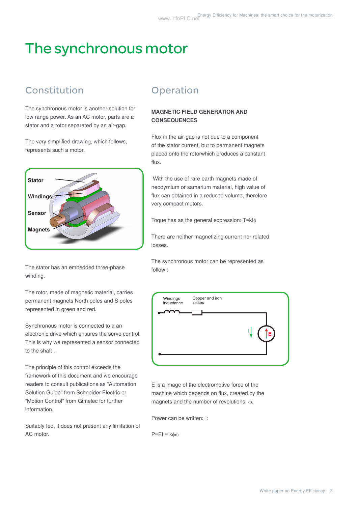# The synchronous motor

### Constitution

The synchronous motor is another solution for low range power. As an AC motor, parts are a stator and a rotor separated by an air-gap.

The very simplified drawing, which follows, represents such a motor.



The stator has an embedded three-phase winding.

The rotor, made of magnetic material, carries permanent magnets North poles and S poles represented in green and red.

Synchronous motor is connected to a an electronic drive which ensures the servo control. This is why we represented a sensor connected to the shaft .

The principle of this control exceeds the framework of this document and we encourage readers to consult publications as "Automation Solution Guide" from Schneider Electric or "Motion Control" from Gimelec for further information.

Suitably fed, it does not present any limitation of AC motor.

### **Operation**

#### **magnetic field generation and consequences**

Flux in the air-gap is not due to a component of the stator current, but to permanent magnets placed onto the rotorwhich produces a constant flux.

 With the use of rare earth magnets made of neodymium or samarium material, high value of flux can obtained in a reduced volume, therefore very compact motors.

Toque has as the general expression: T=kIφ

There are neither magnetizing current nor related losses.

The synchronous motor can be represented as follow :



E is a image of the electromotive force of the machine which depends on flux, created by the magnets and the number of revolutions ω.

Power can be written: :

P=EI = kφω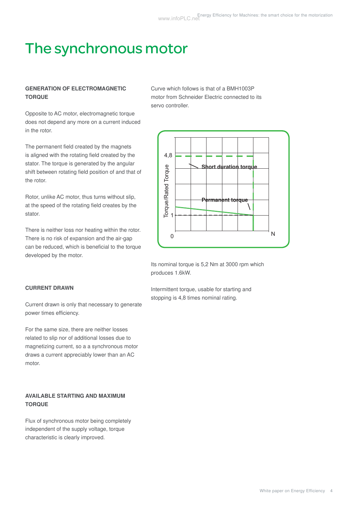# The synchronous motor

#### **Generation of electromagnetic torque**

Opposite to AC motor, electromagnetic torque does not depend any more on a current induced in the rotor.

The permanent field created by the magnets is aligned with the rotating field created by the stator. The torque is generated by the angular shift between rotating field position of and that of the rotor.

Rotor, unlike AC motor, thus turns without slip, at the speed of the rotating field creates by the stator.

There is neither loss nor heating within the rotor. There is no risk of expansion and the air-gap can be reduced, which is beneficial to the torque developed by the motor.

#### **current drawn**

Current drawn is only that necessary to generate power times efficiency.

For the same size, there are neither losses related to slip nor of additional losses due to magnetizing current, so a a synchronous motor draws a current appreciably lower than an AC motor.

#### **available starting and maximum torque**

Flux of synchronous motor being completely independent of the supply voltage, torque characteristic is clearly improved.

Curve which follows is that of a BMH1003P motor from Schneider Electric connected to its servo controller.



Its nominal torque is 5,2 Nm at 3000 rpm which produces 1.6kW.

Intermittent torque, usable for starting and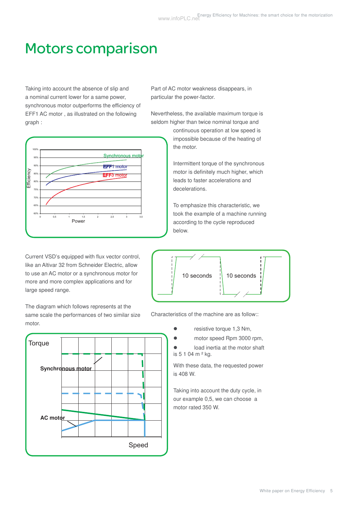## Motors comparison

Taking into account the absence of slip and a nominal current lower for a same power, synchronous motor outperforms the efficiency of EFF1 AC motor , as illustrated on the following graph :



Current VSD's equipped with flux vector control, like an Altivar 32 from Schneider Electric, allow to use an AC motor or a synchronous motor for more and more complex applications and for large speed range.

The diagram which follows represents at the same scale the performances of two similar size motor.



Part of AC motor weakness disappears, in particular the power-factor.

Nevertheless, the available maximum torque is seldom higher than twice nominal torque and

> continuous operation at low speed is impossible because of the heating of the motor.

Intermittent torque of the synchronous motor is definitely much higher, which leads to faster accelerations and decelerations.

To emphasize this characteristic, we took the example of a machine running according to the cycle reproduced below.



Characteristics of the machine are as follow::

- **•** resistive torque 1,3 Nm,
- motor speed Rpm 3000 rpm,

load inertia at the motor shaft is 5 1 04 m ² kg.

With these data, the requested power is 408 W.

Taking into account the duty cycle, in our example 0,5, we can choose a motor rated 350 W.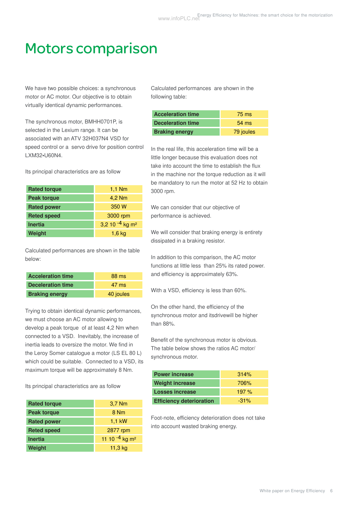## Motors comparison

We have two possible choices: a synchronous motor or AC motor. Our objective is to obtain virtually identical dynamic performances.

The synchronous motor, BMHH0701P, is selected in the Lexium range. It can be associated with an ATV 32H037N4 VSD for speed control or a servo drive for position control LXM32•U60N4.

Its principal characteristics are as follow

| <b>Rated torque</b> | $1,1$ Nm                      |  |  |
|---------------------|-------------------------------|--|--|
| <b>Peak torque</b>  | 4,2 Nm                        |  |  |
| <b>Rated power</b>  | 350W                          |  |  |
| <b>Reted speed</b>  | 3000 rpm                      |  |  |
| <b>Inertia</b>      | 3,2 10 $-4$ kg m <sup>2</sup> |  |  |
| Weight              | $1,6$ kg                      |  |  |

Calculated performances are shown in the table below:

| <b>Acceleration time</b> | 88 ms           |
|--------------------------|-----------------|
| Deceleration time        | $47 \text{ ms}$ |
| <b>Braking energy</b>    | 40 joules       |

Trying to obtain identical dynamic performances, we must choose an AC motor allowing to develop a peak torque of at least 4,2 Nm when connected to a VSD. Inevitably, the increase of inertia leads to oversize the motor. We find in the Leroy Somer catalogue a motor (LS EL 80 L) which could be suitable. Connected to a VSD, its maximum torque will be approximately 8 Nm.

Its principal characteristics are as follow

| <b>Rated torque</b> | $3,7$ Nm                     |  |  |
|---------------------|------------------------------|--|--|
| <b>Peak torque</b>  | 8 Nm                         |  |  |
| <b>Rated power</b>  | $1.1$ kW                     |  |  |
| <b>Reted speed</b>  | 2877 rpm                     |  |  |
| <b>Inertia</b>      | 11 10 $-4$ kg m <sup>2</sup> |  |  |
| Weight              | $11,3$ kg                    |  |  |

Calculated performances are shown in the following table:

| <b>Acceleration time</b> | 75 ms           |
|--------------------------|-----------------|
| <b>Deceleration time</b> | $54 \text{ ms}$ |
| <b>Braking energy</b>    | 79 joules       |

In the real life, this acceleration time will be a little longer because this evaluation does not take into account the time to establish the flux in the machine nor the torque reduction as it will be mandatory to run the motor at 52 Hz to obtain 3000 rpm.

We can consider that our objective of performance is achieved.

We will consider that braking energy is entirety dissipated in a braking resistor.

In addition to this comparison, the AC motor functions at little less than 25% its rated power. and efficiency is approximately 63%.

With a VSD, efficiency is less than 60%.

On the other hand, the efficiency of the synchronous motor and itsdrivewill be higher than 88%.

Benefit of the synchronous motor is obvious. The table below shows the ratios AC motor/ synchronous motor.

| <b>Power increase</b>           | 314%    |
|---------------------------------|---------|
| <b>Weight increase</b>          | 706%    |
| <b>Losses increase</b>          | 197%    |
| <b>Efficiency deterioration</b> | $-31\%$ |

Foot-note, efficiency deterioration does not take into account wasted braking energy.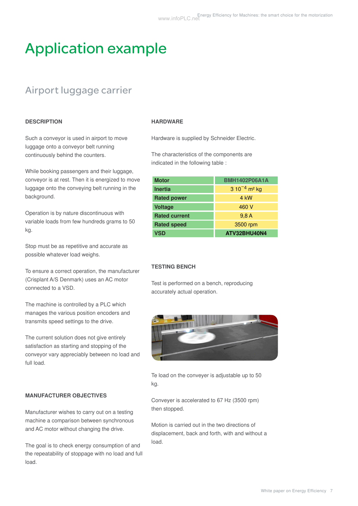# Application example

### Airport luggage carrier

#### **description**

Such a conveyor is used in airport to move luggage onto a conveyor belt running continuously behind the counters.

While booking passengers and their luggage, conveyor is at rest. Then it is energized to move luggage onto the conveying belt running in the background.

Operation is by nature discontinuous with variable loads from few hundreds grams to 50 kg.

Stop must be as repetitive and accurate as possible whatever load weighs.

To ensure a correct operation, the manufacturer (Crisplant A/S Denmark) uses an AC motor connected to a VSD.

The machine is controlled by a PLC which manages the various position encoders and transmits speed settings to the drive.

The current solution does not give entirely satisfaction as starting and stopping of the conveyor vary appreciably between no load and full load.

#### **manufacturer objectives**

Manufacturer wishes to carry out on a testing machine a comparison between synchronous and AC motor without changing the drive.

The goal is to check energy consumption of and the repeatability of stoppage with no load and full load.

#### **Hardware**

Hardware is supplied by Schneider Electric.

The characteristics of the components are indicated in the following table :

| <b>Motor</b>         | <b>BMH1402P06A1A</b>                              |  |  |
|----------------------|---------------------------------------------------|--|--|
| <b>Inertia</b>       | 3 10 <sup><math>-4</math></sup> m <sup>2</sup> kg |  |  |
| <b>Rated power</b>   | 4 kW                                              |  |  |
| <b>Voltage</b>       | 460 V                                             |  |  |
| <b>Rated current</b> | 9,8A                                              |  |  |
| <b>Rated speed</b>   | 3500 rpm                                          |  |  |
| <b>VSD</b>           | ATV32BHU40N4                                      |  |  |

#### **Testing bench**

Test is performed on a bench, reproducing accurately actual operation.



Te load on the conveyer is adjustable up to 50 kg.

Conveyer is accelerated to 67 Hz (3500 rpm) then stopped.

Motion is carried out in the two directions of displacement, back and forth, with and without a load.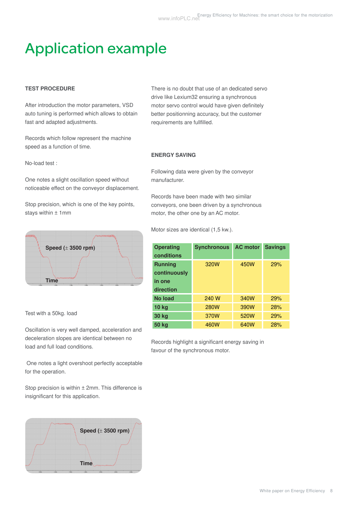# Application example

#### **test procedure**

After introduction the motor parameters, VSD auto tuning is performed which allows to obtain fast and adapted adjustments.

Records which follow represent the machine speed as a function of time.

No-load test :

One notes a slight oscillation speed without noticeable effect on the conveyor displacement.

Stop precision, which is one of the key points, stays within ± 1mm



Test with a 50kg. load

Oscillation is very well damped, acceleration and deceleration slopes are identical between no load and full load conditions.

 One notes a light overshoot perfectly acceptable for the operation.

Stop precision is within  $\pm$  2mm. This difference is insignificant for this application.



There is no doubt that use of an dedicated servo drive like Lexium32 ensuring a synchronous motor servo control would have given definitely better positionning accuracy, but the customer requirements are fullfilled.

#### **energy saving**

Following data were given by the conveyor manufacturer.

Records have been made with two similar conveyors, one been driven by a synchronous motor, the other one by an AC motor.

Motor sizes are identical (1,5 kw.).

| <b>Operating</b><br>conditions | <b>Synchronous</b> | <b>AC motor</b> | <b>Savings</b> |
|--------------------------------|--------------------|-----------------|----------------|
| <b>Running</b>                 | 320W               | 450W            | 29%            |
| continuously<br>in one         |                    |                 |                |
| direction                      |                    |                 |                |
| No load                        | 240 W              | 340W            | 29%            |
| <b>10 kg</b>                   | <b>280W</b>        | 390W            | 28%            |
| 30 kg                          | 370W               | 520W            | 29%            |
| 50 kg                          | 460W               | 640W            | 28%            |

Records highlight a significant energy saving in favour of the synchronous motor.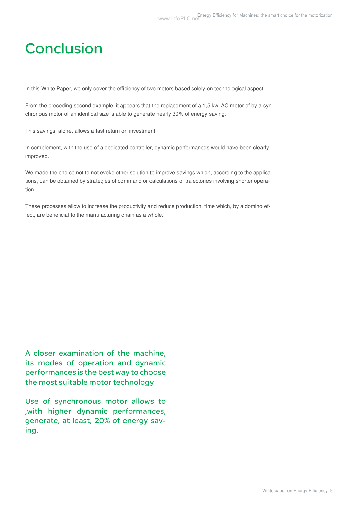## **Conclusion**

In this White Paper, we only cover the efficiency of two motors based solely on technological aspect.

From the preceding second example, it appears that the replacement of a 1,5 kw AC motor of by a synchronous motor of an identical size is able to generate nearly 30% of energy saving.

This savings, alone, allows a fast return on investment.

In complement, with the use of a dedicated controller, dynamic performances would have been clearly improved.

We made the choice not to not evoke other solution to improve savings which, according to the applications, can be obtained by strategies of command or calculations of trajectories involving shorter operation.

These processes allow to increase the productivity and reduce production, time which, by a domino effect, are beneficial to the manufacturing chain as a whole.

A closer examination of the machine, its modes of operation and dynamic performances is the best way to choose the most suitable motor technology

Use of synchronous motor allows to ,with higher dynamic performances, generate, at least, 20% of energy saving.